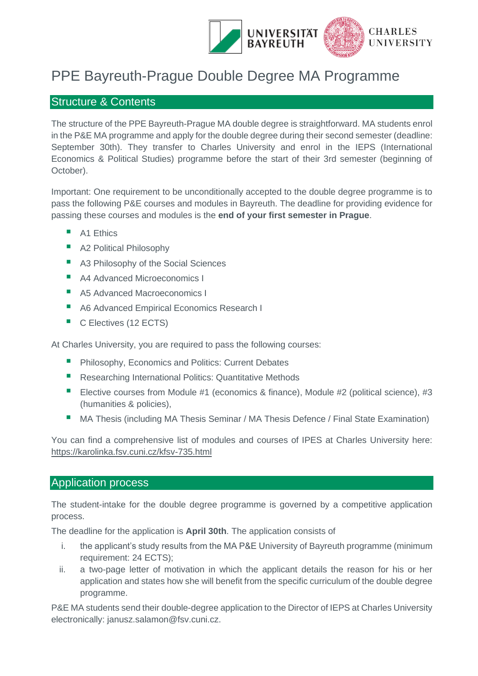

# PPE Bayreuth-Prague Double Degree MA Programme

# Structure & Contents

The structure of the PPE Bayreuth-Prague MA double degree is straightforward. MA students enrol in the P&E MA programme and apply for the double degree during their second semester (deadline: September 30th). They transfer to Charles University and enrol in the IEPS (International Economics & Political Studies) programme before the start of their 3rd semester (beginning of October).

Important: One requirement to be unconditionally accepted to the double degree programme is to pass the following P&E courses and modules in Bayreuth. The deadline for providing evidence for passing these courses and modules is the **end of your first semester in Prague**.

- A1 Ethics
- A2 Political Philosophy
- A3 Philosophy of the Social Sciences
- A4 Advanced Microeconomics I
- A5 Advanced Macroeconomics I
- A6 Advanced Empirical Economics Research I
- C Electives (12 ECTS)

At Charles University, you are required to pass the following courses:

- Philosophy, Economics and Politics: Current Debates
- Researching International Politics: Quantitative Methods
- Elective courses from Module #1 (economics & finance), Module #2 (political science), #3 (humanities & policies),
- MA Thesis (including MA Thesis Seminar / MA Thesis Defence / Final State Examination)

You can find a comprehensive list of modules and courses of IPES at Charles University here: <https://karolinka.fsv.cuni.cz/kfsv-735.html>

# Application process

The student-intake for the double degree programme is governed by a competitive application process.

The deadline for the application is **April 30th**. The application consists of

- i. the applicant's study results from the MA P&E University of Bayreuth programme (minimum requirement: 24 ECTS);
- ii. a two-page letter of motivation in which the applicant details the reason for his or her application and states how she will benefit from the specific curriculum of the double degree programme.

P&E MA students send their double-degree application to the Director of IEPS at Charles University electronically: janusz.salamon@fsv.cuni.cz.